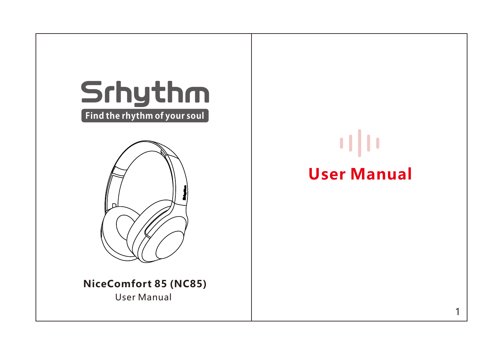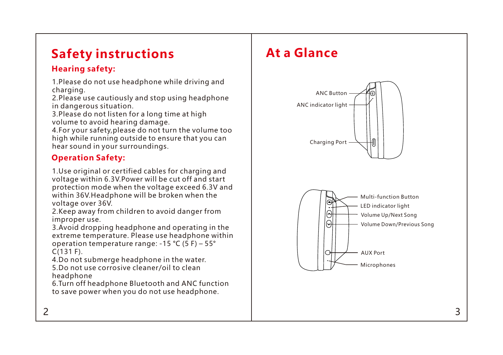# **Safety instructions**

### **Hearing safety:**

1.Please do not use headphone while driving and charging.

2.Please use cautiously and stop using headphone in dangerous situation.

3.Please do not listen for a long time at high volume to avoid hearing damage.

4.For your safety,please do not turn the volume too high while running outside to ensure that you can hear sound in your surroundings.

## **Operation Safety:**

1.Use original or certified cables for charging and voltage within 6.3V.Power will be cut off and start protection mode when the voltage exceed 6.3V and within 36V.Headphone will be broken when the voltage over 36V.

2.Keep away from children to avoid danger from improper use.

3.Avoid dropping headphone and operating in the extreme temperature. Please use headphone within operation temperature range:  $-15$  °C (5 F) – 55° C(131 F).

5.Do not use corrosive cleaner/oil to clean headphone 4.Do not submerge headphone in the water.

6.Turn off headphone Bluetooth and ANC function to save power when you do not use headphone.

# **At a Glance**



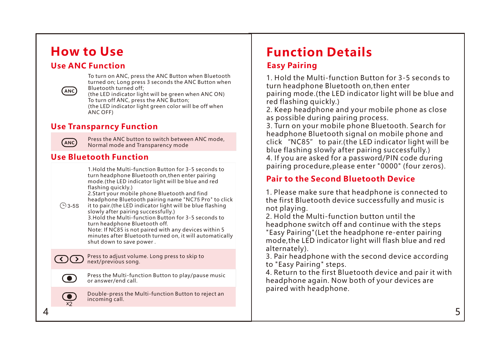# **How to Use**

### **Use ANC Function**



To turn on ANC, press the ANC Button when Bluetooth turned on; Long press 3 seconds the ANC Button when Bluetooth turned off;

(the LED indicator light green color will be off when (the LED indicator light will be green when ANC ON) To turn off ANC, press the ANC Button:

ANC OFF)

### **Use Transparncy Function**



Press the ANC button to switch between ANC mode, Normal mode and Transparency mode

### **Use Bluetooth Function**

1.Hold the Multi-function Button for 3-5 seconds to turn headphone Bluetooth on,then enter pairing mode.(the LED indicator light will be blue and red flashing quickly.) 2.Start your mobile phone Bluetooth and find

headphone Bluetooth pairing name "NC75 Pro" to click

it to pair.(the LED indicator light will be blue flashing slowly after pairing successfully.)  $\bigcirc$  3-5S

3.Hold the Multi-function Button for 3-5 seconds to turn headphone Bluetooth off.

Note: If NC85 is not paired with any devices within 5 minutes after Bluetooth turned on, it will automatically shut down to save power .

Press to adjust volume. Long press to skip to next/previous song.



 $\bigcirc$ 

Press the Multi-function Button to play/pause music or answer/end call.

( O ) 2

Double-press the Multi-function Button to reject an incoming call.

# **Function Details**

### **Easy Pairing**

pairing mode.(the LED indicator light will be blue and red flashing quickly.) 1. Hold the Multi-function Button for 3-5 seconds to turn headphone Bluetooth on,then enter

2. Keep headphone and your mobile phone as close as possible during pairing process.

4. If you are asked for a password/PIN code during pairing procedure,please enter "0000" (four zeros). 3. Turn on your mobile phone Bluetooth. Search for headphone Bluetooth signal on mobile phone and click "NC85" to pair.(the LED indicator light will be blue flashing slowly after pairing successfully.)

### **Pair to the Second Bluetooth Device**

1. Please make sure that headphone is connected to the first Bluetooth device successfully and music is not playing.

2. Hold the Multi-function button until the headphone switch off and continue with the steps "Easy Pairing"(Let the headphone re-enter pairing mode,the LED indicator light will flash blue and red alternately).

3. Pair headphone with the second device according to "Easy Pairing" steps.

4. Return to the first Bluetooth device and pair it with headphone again. Now both of your devices are paired with headphone.

 $4\overline{5}$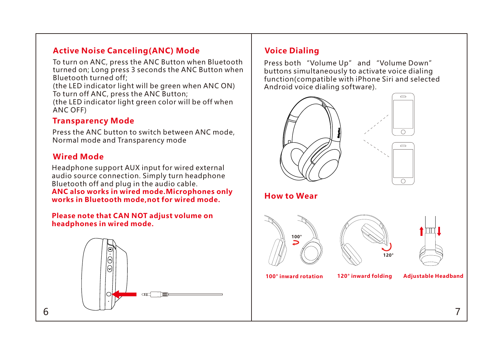### **Active Noise Canceling(ANC) Mode**

To turn on ANC, press the ANC Button when Bluetooth turned on; Long press 3 seconds the ANC Button when Bluetooth turned off;

To turn off ANC, press the ANC Button; (the LED indicator light will be green when ANC ON)

(the LED indicator light green color will be off when ANC OFF)

### **Transparency Mode**

Press the ANC button to switch between ANC mode, Normal mode and Transparency mode

### **Wired Mode**

Headphone support AUX input for wired external audio source connection. Simply turn headphone Bluetooth off and plug in the audio cable.

**ANC also works in wired mode.Microphones only works in Bluetooth mode,not for wired mode.**

#### **Please note that CAN NOT adjust volume on headphones in wired mode.**



### **Voice Dialing**

Press both "Volume Up" and "Volume Down" buttons simultaneously to activate voice dialing function(compatible with iPhone Siri and selected Android voice dialing software).

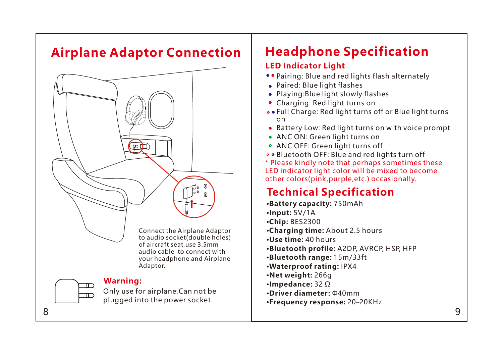# **Airplane Adaptor Connection**



# **Headphone Specification LED Indicator Light**

- Pairing: Blue and red lights flash alternately
- Paired: Blue light flashes
- Playing: Blue light slowly flashes
- Charging: Red light turns on
- Full Charge: Red light turns off or Blue light turns on
- Battery Low: Red light turns on with voice prompt
- ANC ON: Green light turns on
- ANC OFF: Green light turns off

• Bluetooth OFF: Blue and red lights turn off \* Please kindly note that perhaps sometimes these LED indicator light color will be mixed to become other colors(pink,purple,etc.) occasionally.

# **Technical Specification**

•**Net weight:** 266g •**Bluetooth profile:** A2DP, AVRCP, HSP, HFP •**Impedance:** 32 Ω •**Use time:** 40 hours •**Input:** 5V/1A •**Frequency response:** 20–20KHz •**Bluetooth range:** 15m/33ft •**Battery capacity:** 750mAh •**Driver diameter:** Φ40mm •**Charging time:** About 2.5 hours •**Chip:** BES2300 •**Waterproof rating:** IPX4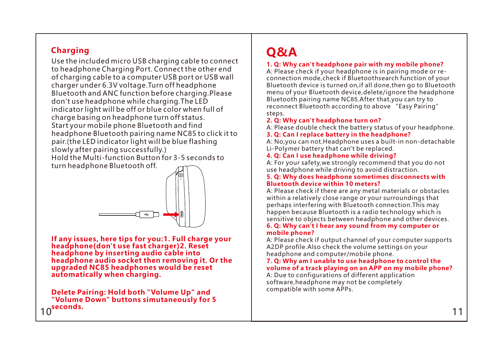### **Charging**

Start your mobile phone Bluetooth and find headphone Bluetooth pairing name NC85 to click it to pair.(the LED indicator light will be blue flashing slowly after pairing successfully.) Hold the Multi-function Button for 3-5 seconds to turn headphone Bluetooth off. Use the included micro USB charging cable to connect to headphone Charging Port. Connect the other end of charging cable to a computer USB port or USB wall charger under 6.3V voltage.Turn off headphone Bluetooth and ANC function before charging.Please don't use headphone while charging.The LED indicator light will be off or blue color when full of charge basing on headphone turn off status.



**If any issues, here tips for you:1. Full charge your headphone(don't use fast charger)2. Reset headphone by inserting audio cable into headphone audio socket then removing it. Or the upgraded NC85 headphones would be reset automatically when charging.**

10 11 **seconds. Delete Pairing: Hold both "Volume Up" and "Volume Down" buttons simutaneously for 5** 

# **Q&A**

#### **1. Q: Why can't headphone pair with my mobile phone?**

A: Please check if your headphone is in pairing mode or reconnection mode,check if Bluetoothsearch function of your Bluetooth device is turned on,if all done,then go to Bluetooth menu of your Bluetooth device,delete/ignore the headphone Bluetooth pairing name NC85.After that,you can try to reconnect Bluetooth according to above "Easy Pairing" steps.

#### **2. Q: Why can't headphone turn on?**

A: Please double check the battery status of your headphone.

#### **3. Q: Can I replace battery in the headphone?**

A: No,you can not.Headphone uses a built-in non-detachable Li-Polymer battery that can't be replaced.

#### **4. Q: Can I use headphone while driving?**

A: For your safety,we strongly recommend that you do not use headphone while driving to avoid distraction.

#### **5. Q: Why does headphone sometimes disconnects with Bluetooth device within 10 meters?**

A: Please check if there are any metal materials or obstacles within a relatively close range or your surroundings that perhaps interfering with Bluetooth connection.This may happen because Bluetooth is a radio technology which is sensitive to objects between headphone and other devices.

#### **6. Q: Why can't I hear any sound from my computer or mobile phone?**

A: Please check if output channel of your computer supports A2DP profile.Also check the volume settings on your headphone and computer/mobile phone.

#### **7. Q: Why am I unable to use headphone to control the volume of a track playing on an APP on my mobile phone?**

compatible with some APPs. A: Due to configurations of different application software,headphone may not be completely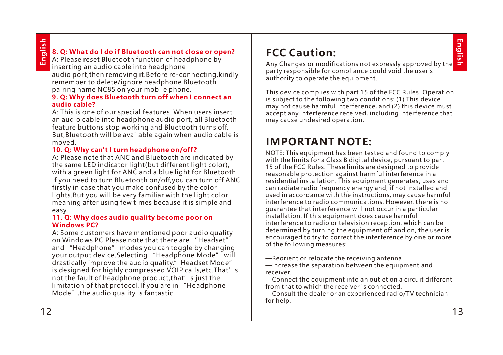**English**

# **English**

### **8. Q: What do I do if Bluetooth can not close or open?**

A: Please reset Bluetooth function of headphone by inserting an audio cable into headphone audio port,then removing it.Before re-connecting,kindly remember to delete/ignore headphone Bluetooth pairing name NC85 on your mobile phone.

#### **9. Q: Why does Bluetooth turn off when I connect an audio cable?**

A: This is one of our special features. When users insert an audio cable into headphone audio port, all Bluetooth feature buttons stop working and Bluetooth turns off. But,Bluetooth will be available again when audio cable is moved.

#### **10. Q: Why can't I turn headphone on/off?**

A: Please note that ANC and Bluetooth are indicated by the same LED indicator light(but different light color), with a green light for ANC and a blue light for Bluetooth. If you need to turn Bluetooth on/off,you can turn off ANC firstly in case that you make confused by the color lights.But you will be very familiar with the light color meaning after using few times because it is simple and easy.

#### **11. Q: Why does audio quality become poor on Windows PC?**

A: Some customers have mentioned poor audio quality on Windows PC.Please note that there are "Headset" and "Headphone" modes you can toggle by changing your output device.Selecting "Headphone Mode" will drastically improve the audio quality." Headset Mode" is designed for highly compressed VOIP calls, etc. That's not the fault of headphone product, that's just the limitation of that protocol.If you are in "Headphone Mode",the audio quality is fantastic.

# **FCC Caution:**

Any Changes or modifications not expressly approved by the party responsible for compliance could void the user's authority to operate the equipment.

This device complies with part 15 of the FCC Rules. Operation is subject to the following two conditions: (1) This device may not cause harmful interference, and (2) this device must accept any interference received, including interference that may cause undesired operation.

# **IMPORTANT NOTE:**

NOTE: This equipment has been tested and found to comply with the limits for a Class B digital device, pursuant to part 15 of the FCC Rules. These limits are designed to provide reasonable protection against harmful interference in a residential installation. This equipment generates, uses and can radiate radio frequency energy and, if not installed and used in accordance with the instructions, may cause harmful interference to radio communications. However, there is no guarantee that interference will not occur in a particular installation. If this equipment does cause harmful interference to radio or television reception, which can be determined by turning the equipment off and on, the user is encouraged to try to correct the interference by one or more of the following measures:

—Reorient or relocate the receiving antenna.

—Increase the separation between the equipment and receiver.

—Connect the equipment into an outlet on a circuit different from that to which the receiver is connected.

—Consult the dealer or an experienced radio/TV technician for help.